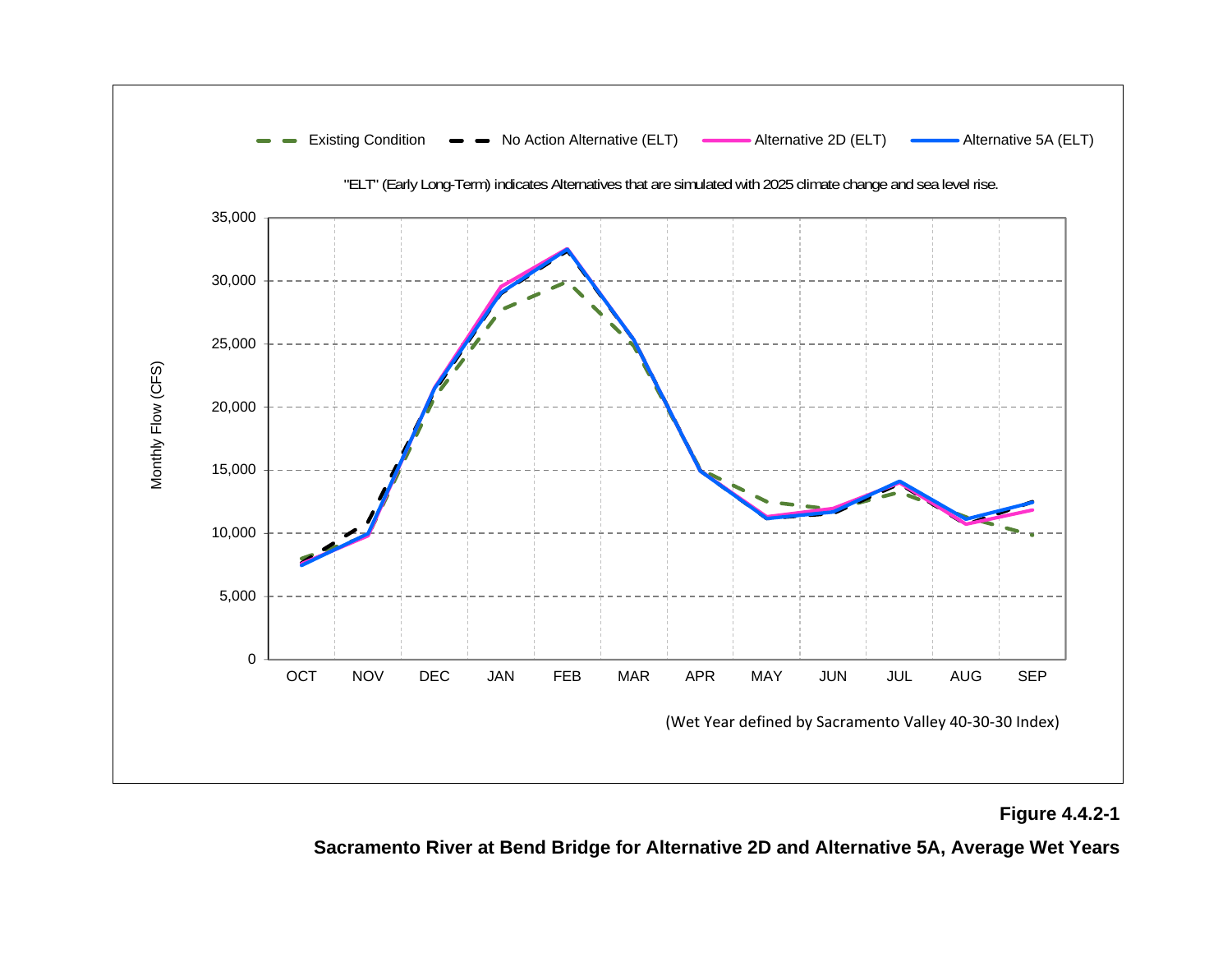

**Figure 4.4.2-1** 

**Sacramento River at Bend Bridge for Alternative 2D and Alternative 5A, Average Wet Years**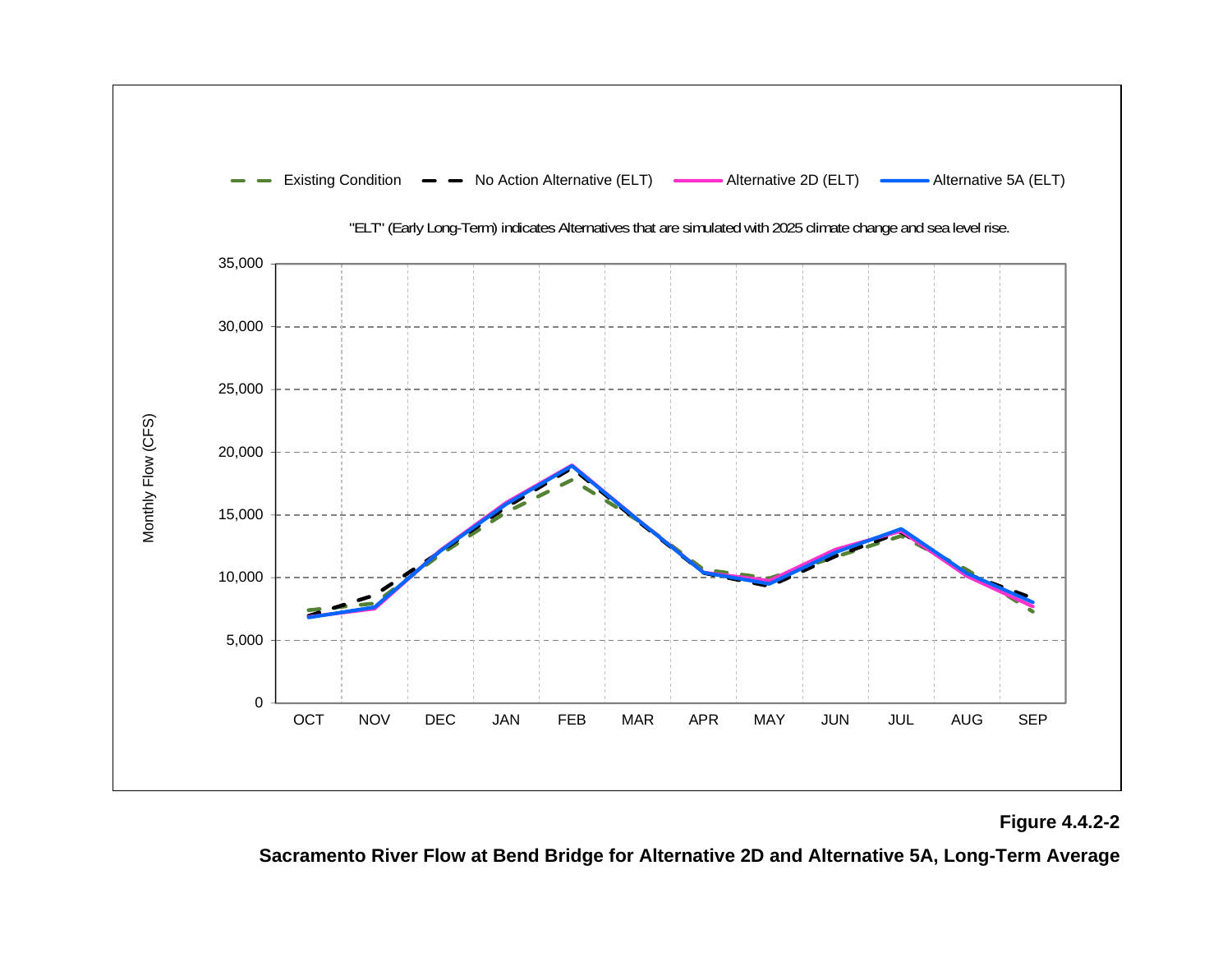

## **Figure 4.4.2-2**

**Sacramento River Flow at Bend Bridge for Alternative 2D and Alternative 5A, Long-Term Average**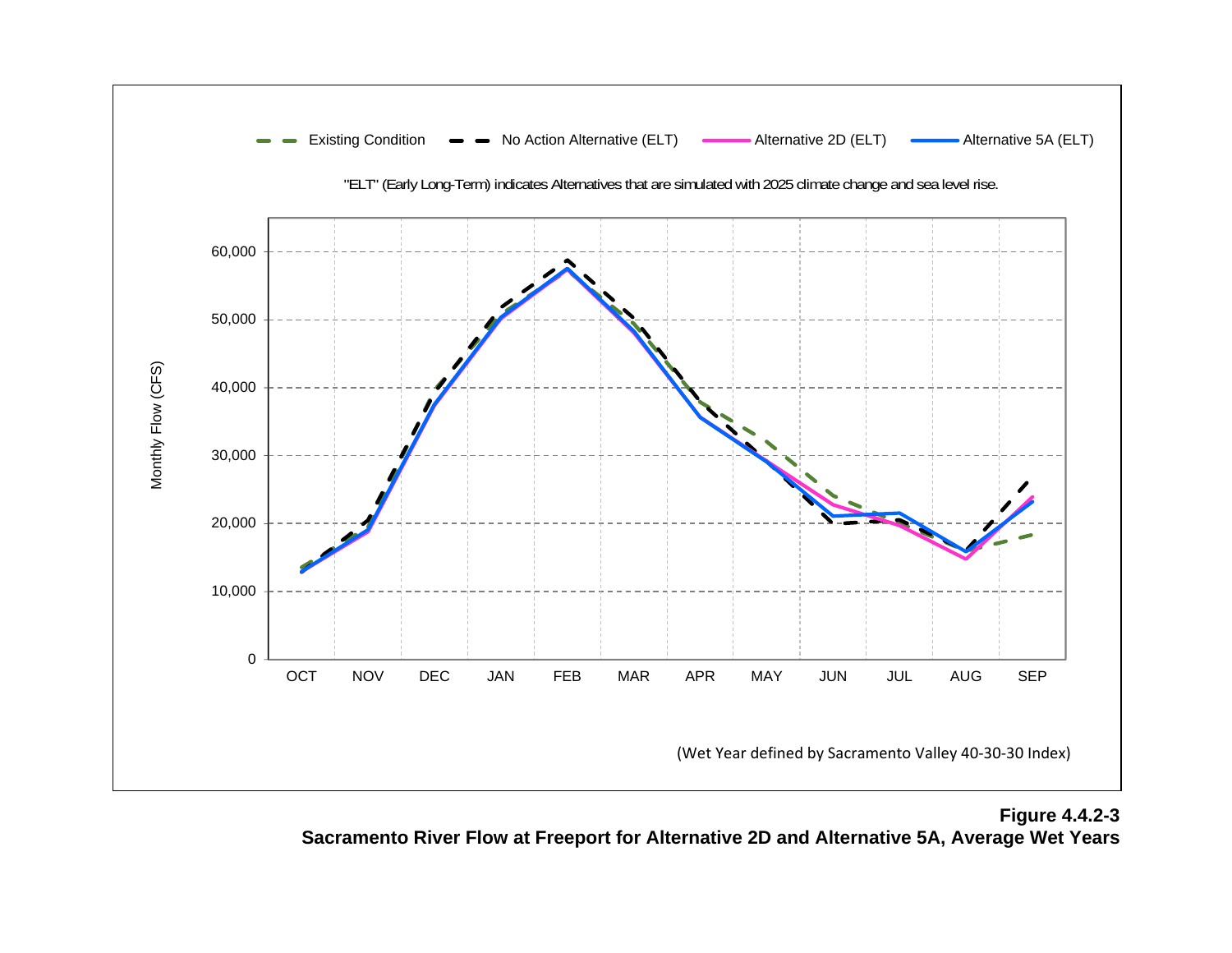

**Figure 4.4.2-3 Sacramento River Flow at Freeport for Alternative 2D and Alternative 5A, Average Wet Years**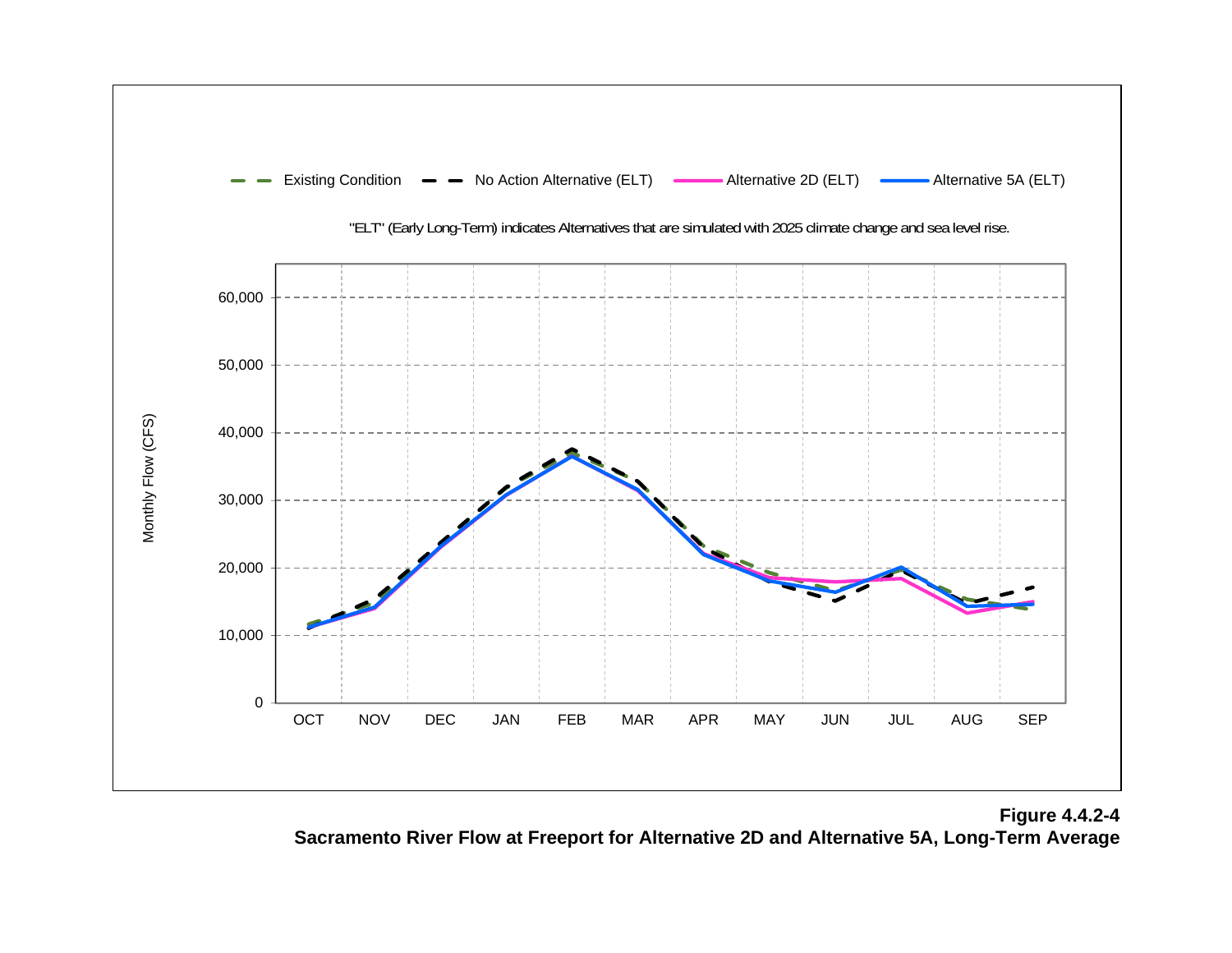

**Figure 4.4.2-4 Sacramento River Flow at Freeport for Alternative 2D and Alternative 5A, Long-Term Average**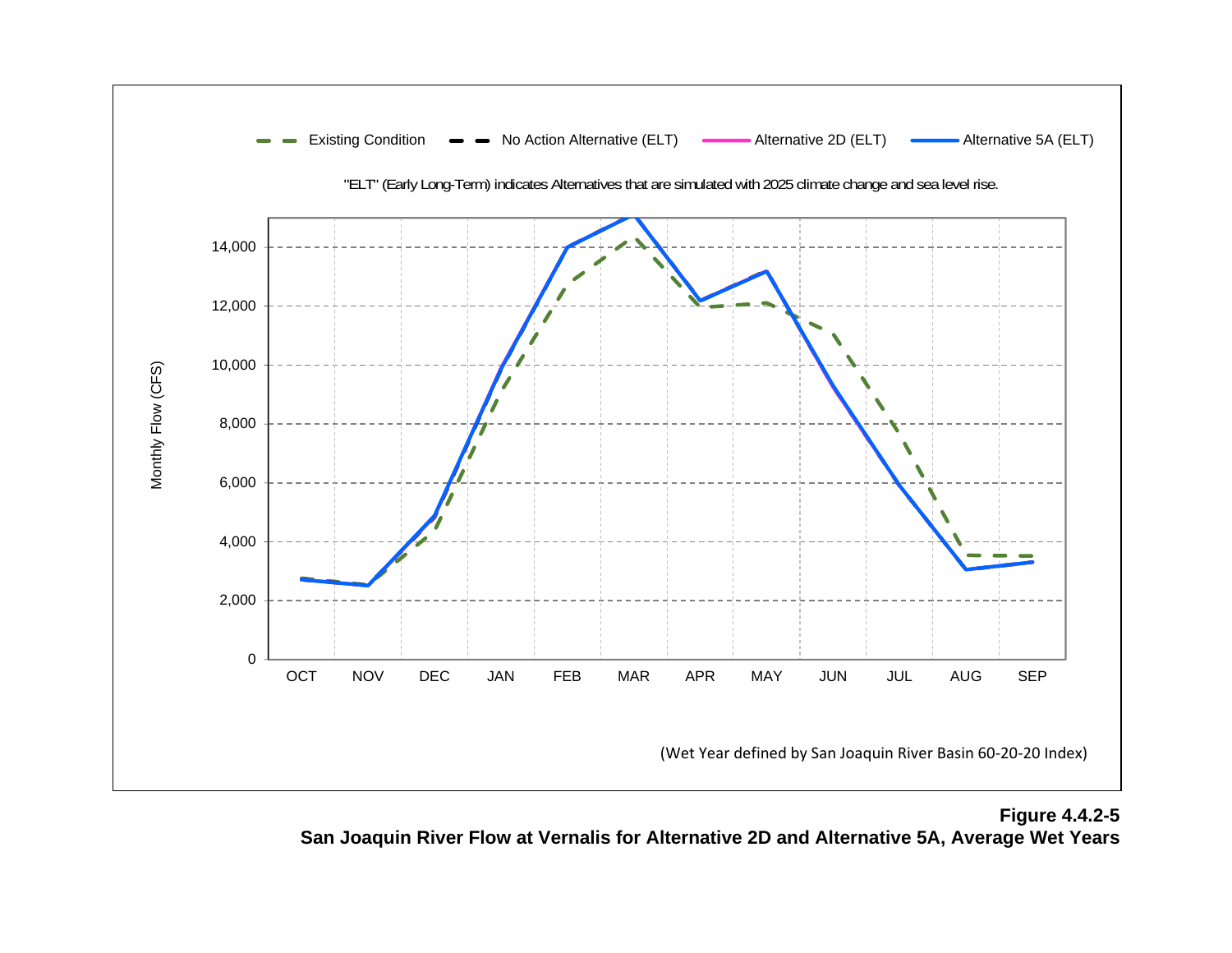

**Figure 4.4.2-5 San Joaquin River Flow at Vernalis for Alternative 2D and Alternative 5A, Average Wet Years**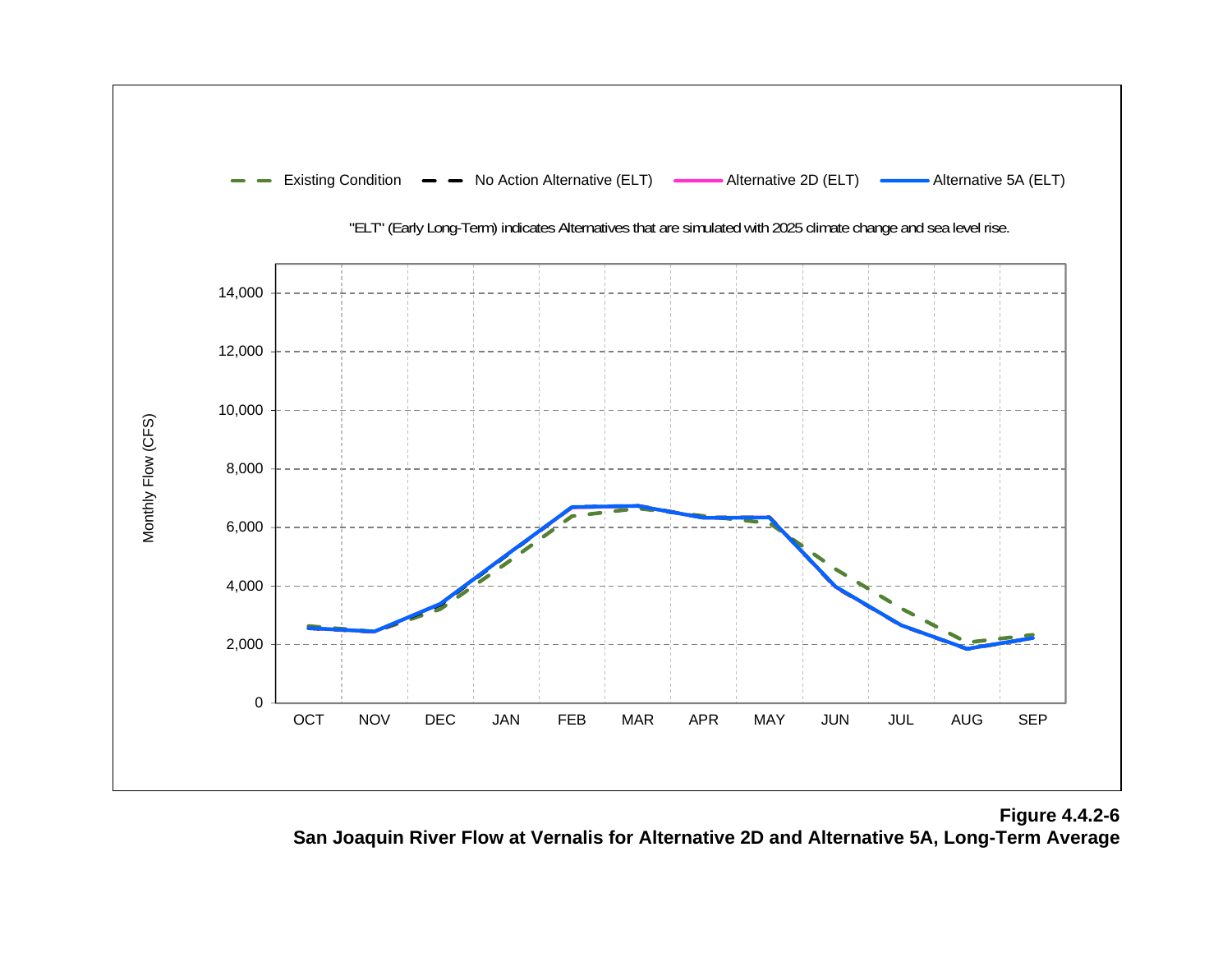

**Figure 4.4.2-6 San Joaquin River Flow at Vernalis for Alternative 2D and Alternative 5A, Long-Term Average**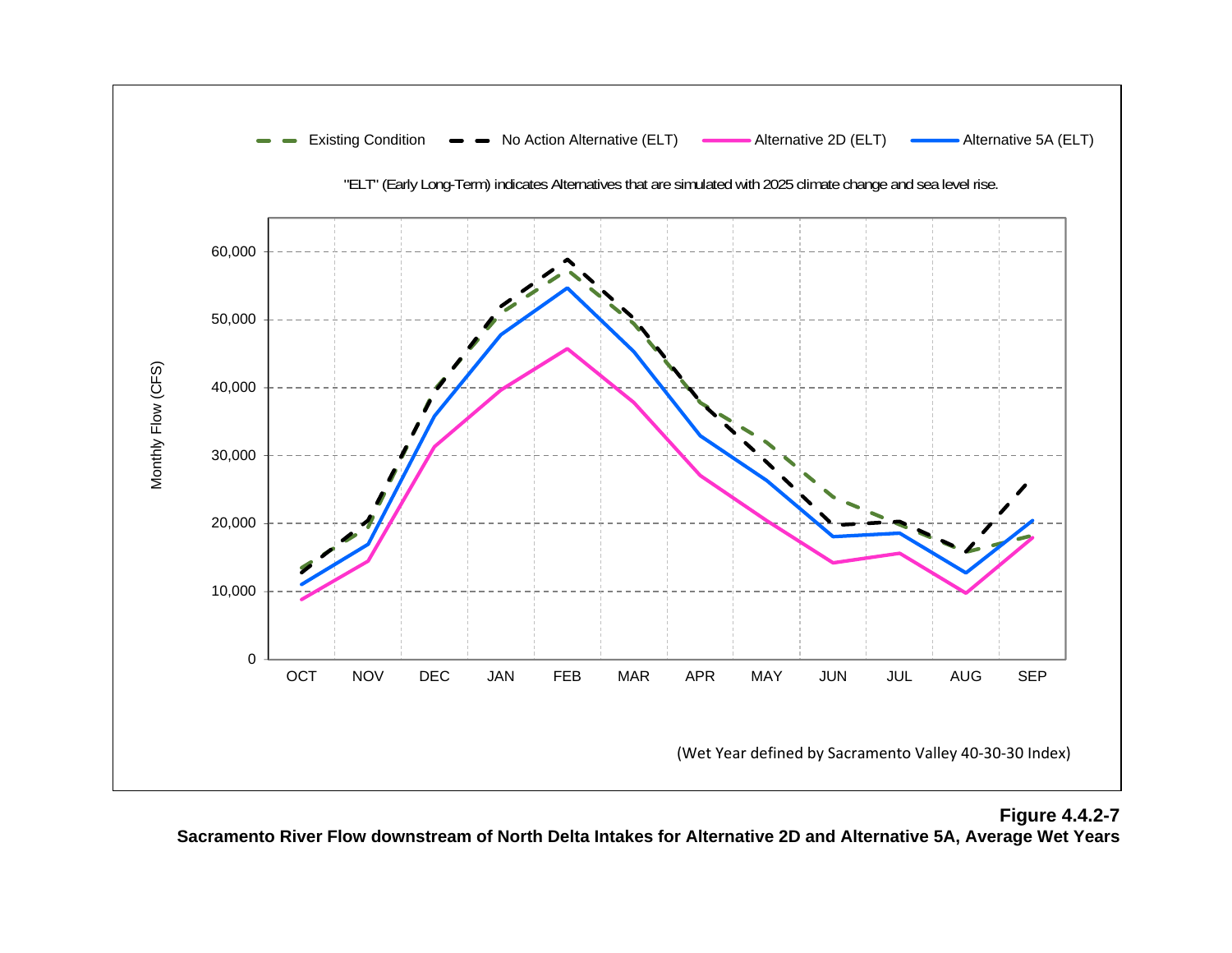

## **Figure 4.4.2-7 Sacramento River Flow downstream of North Delta Intakes for Alternative 2D and Alternative 5A, Average Wet Years**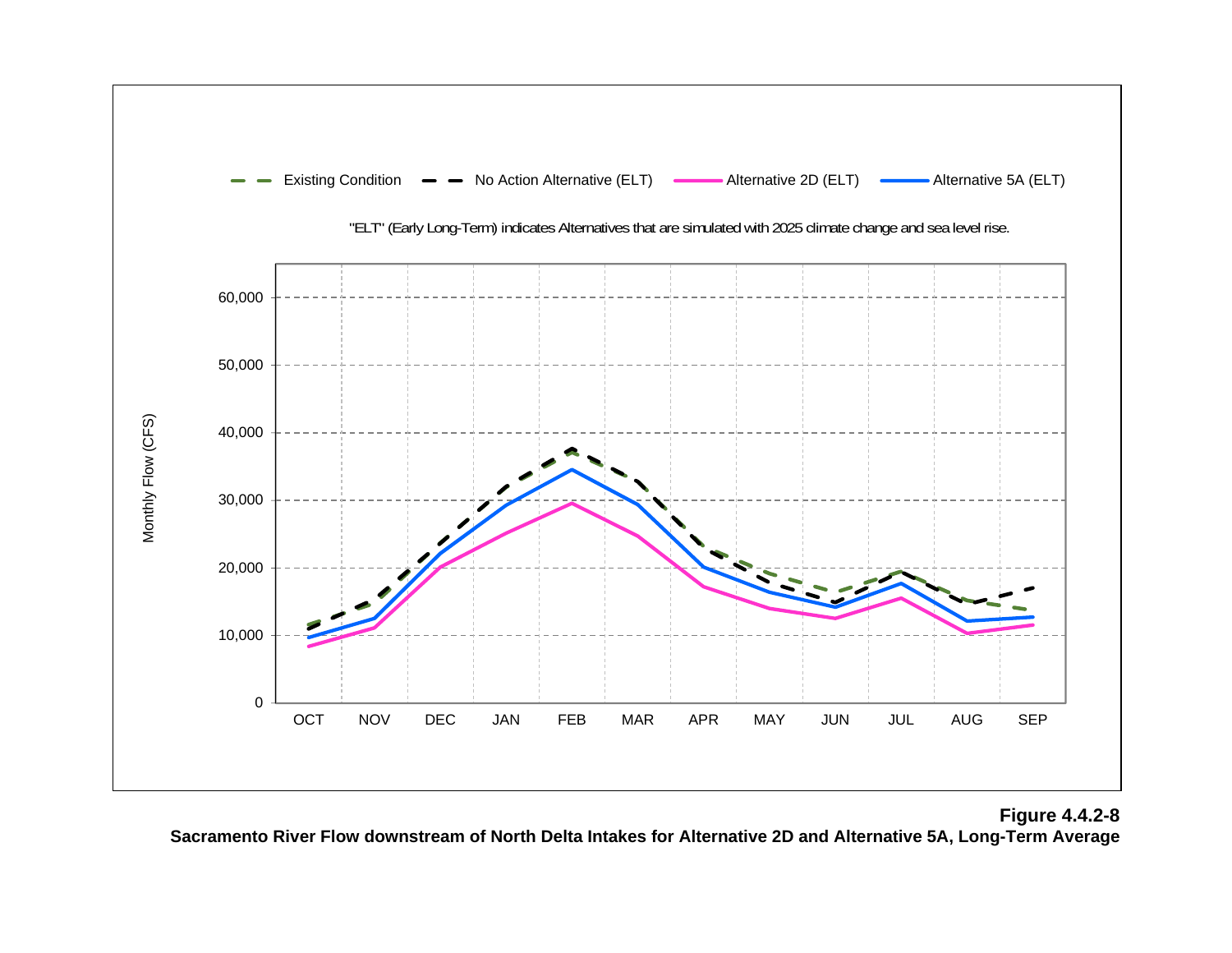

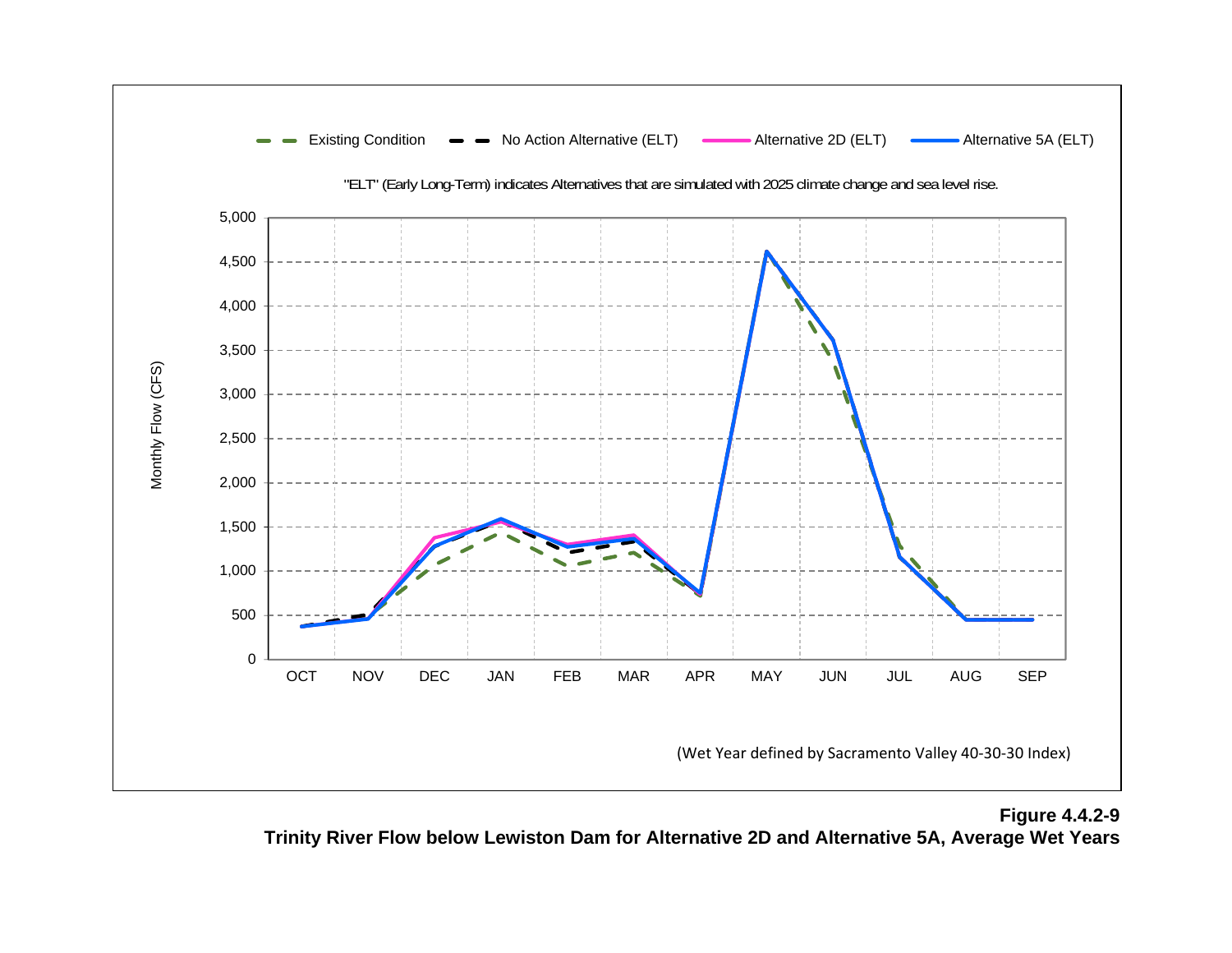

**Figure 4.4.2-9 Trinity River Flow below Lewiston Dam for Alternative 2D and Alternative 5A, Average Wet Years**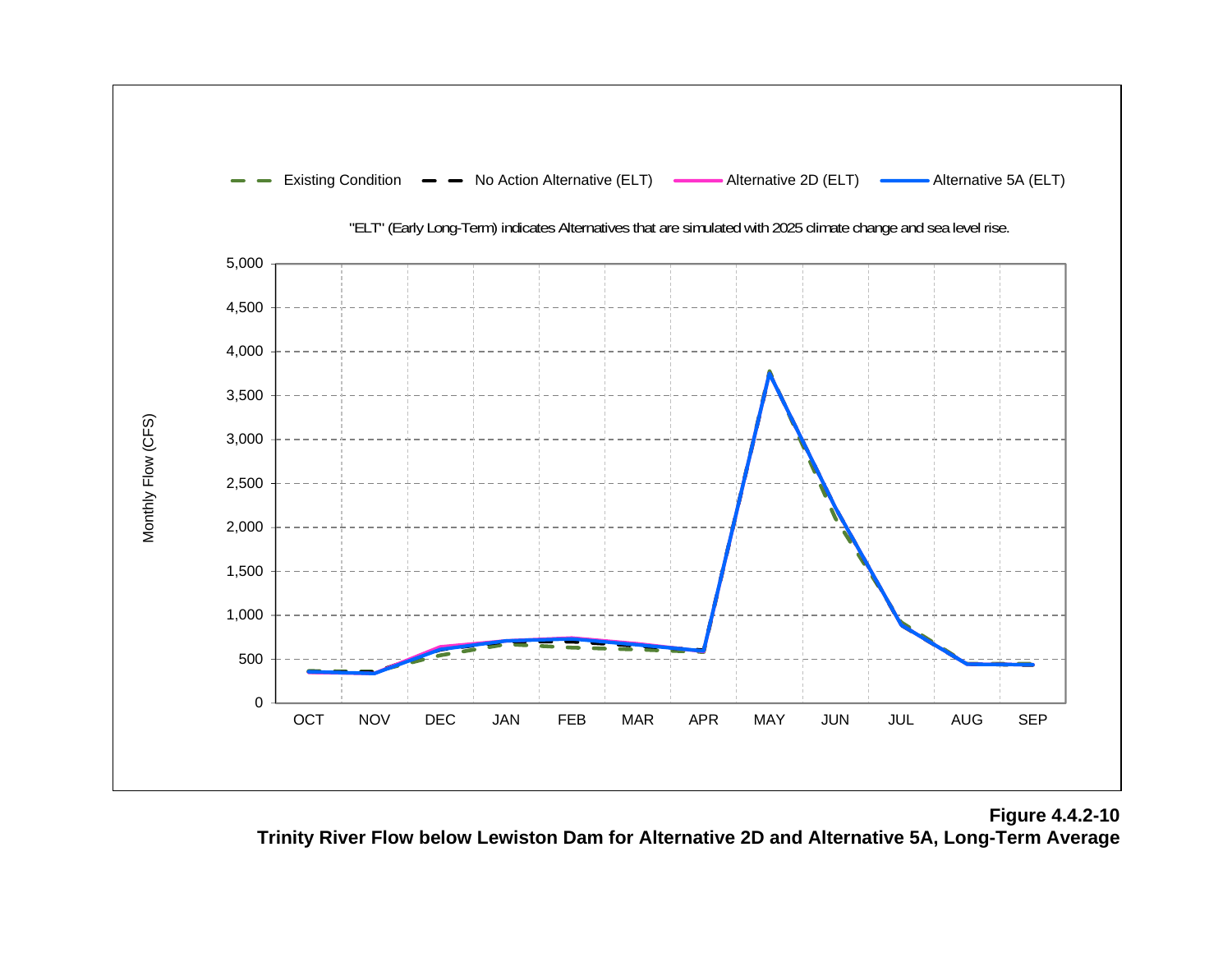

**Figure 4.4.2-10 Trinity River Flow below Lewiston Dam for Alternative 2D and Alternative 5A, Long-Term Average**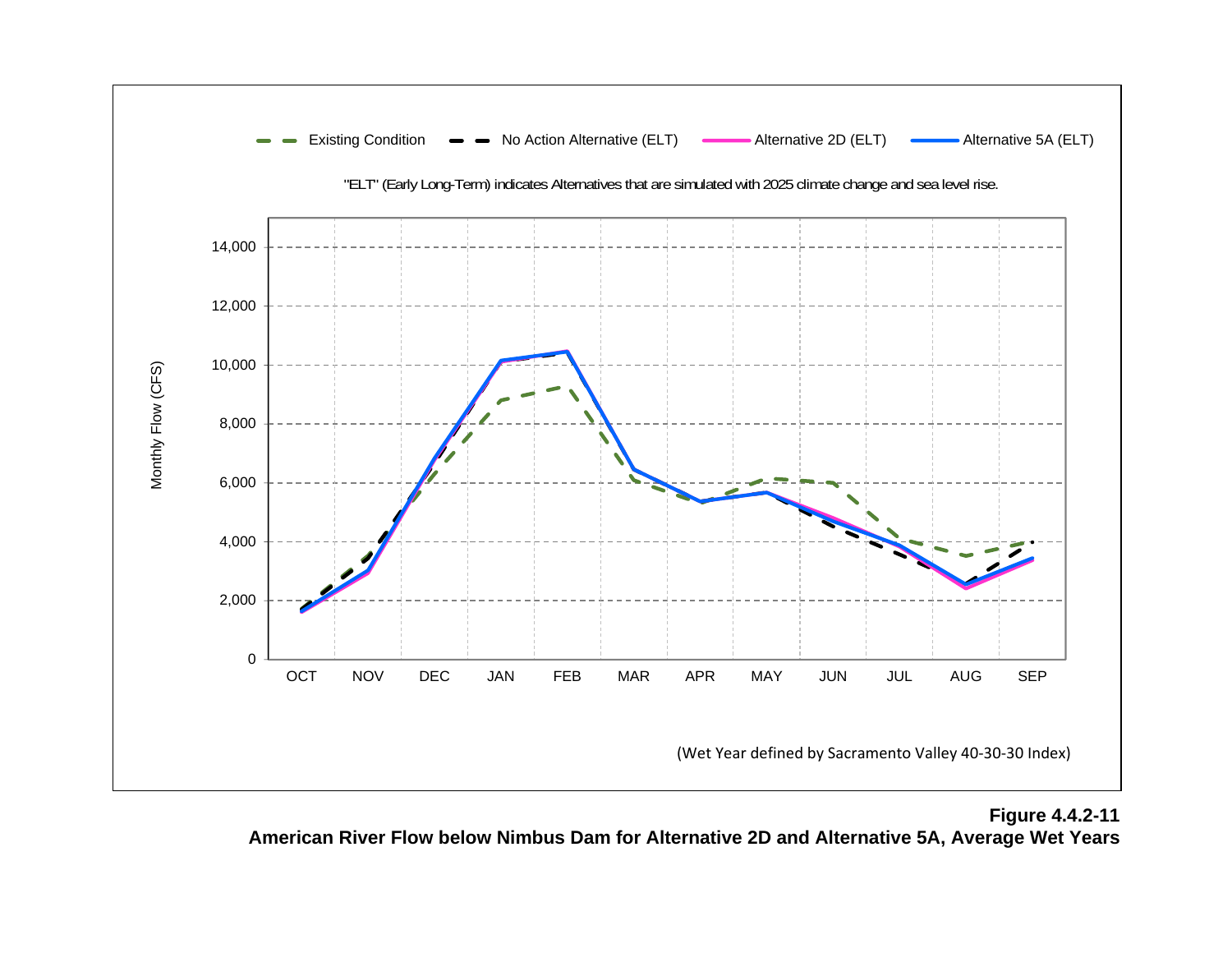

**Figure 4.4.2-11 American River Flow below Nimbus Dam for Alternative 2D and Alternative 5A, Average Wet Years**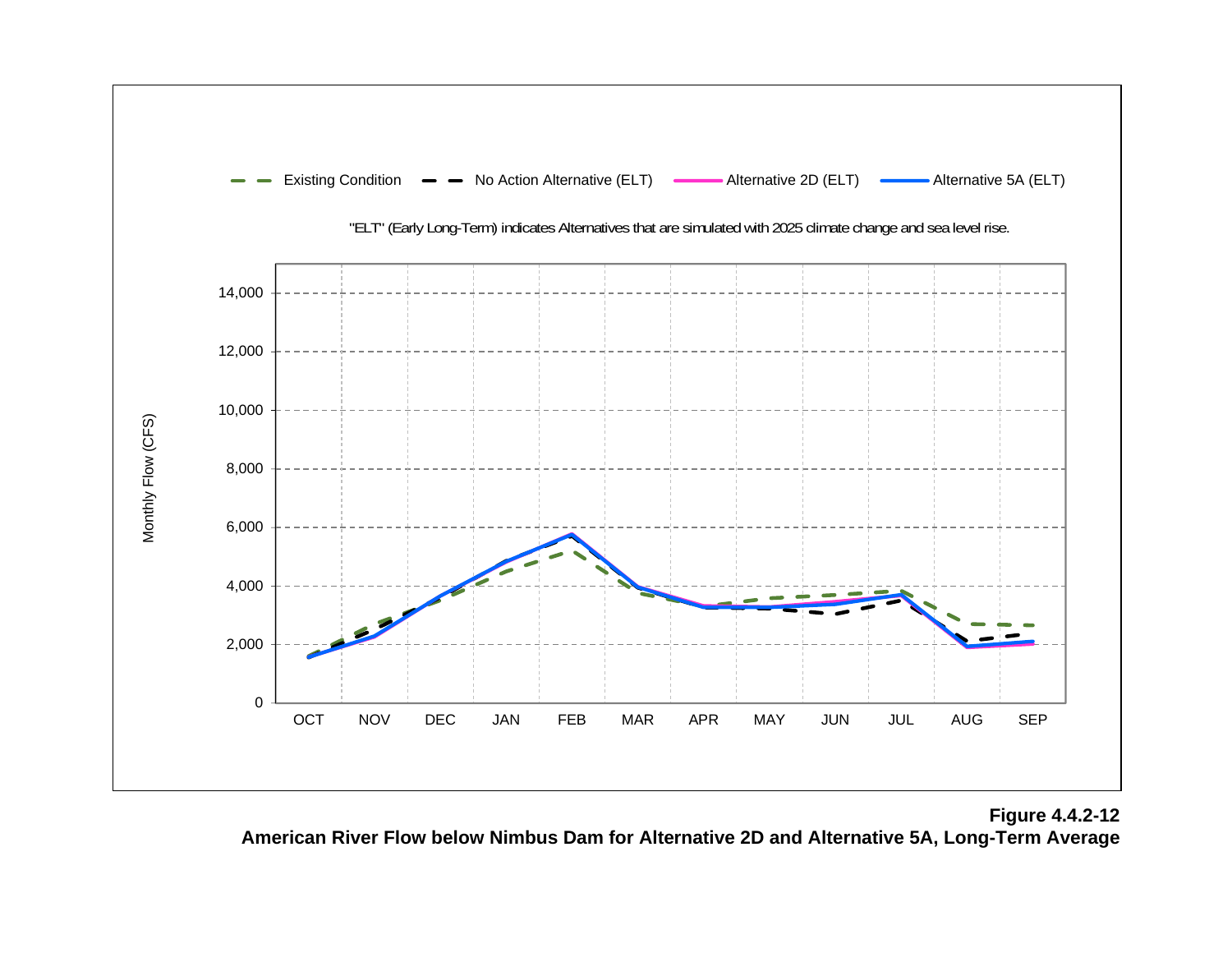

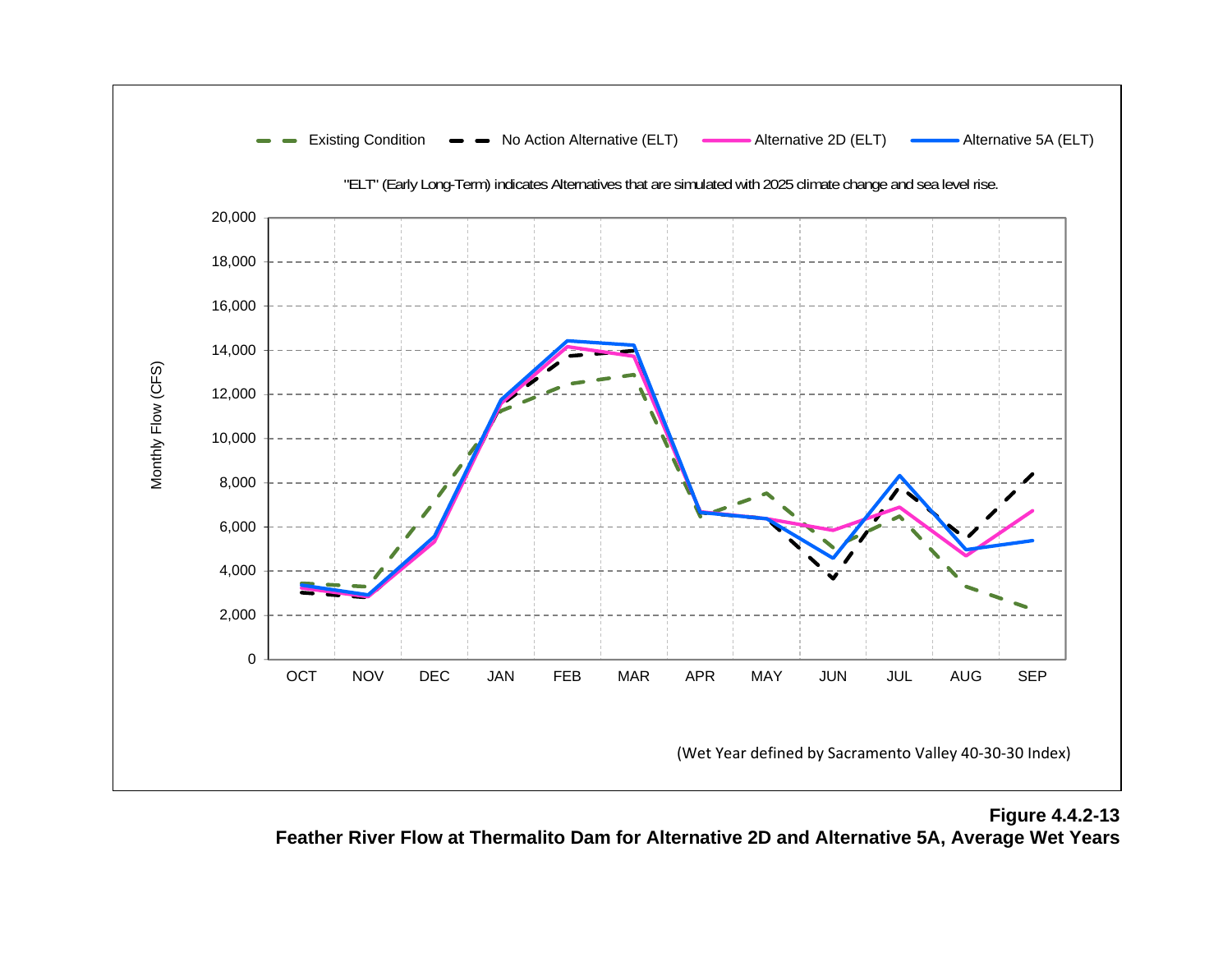

**Figure 4.4.2-13 Feather River Flow at Thermalito Dam for Alternative 2D and Alternative 5A, Average Wet Years**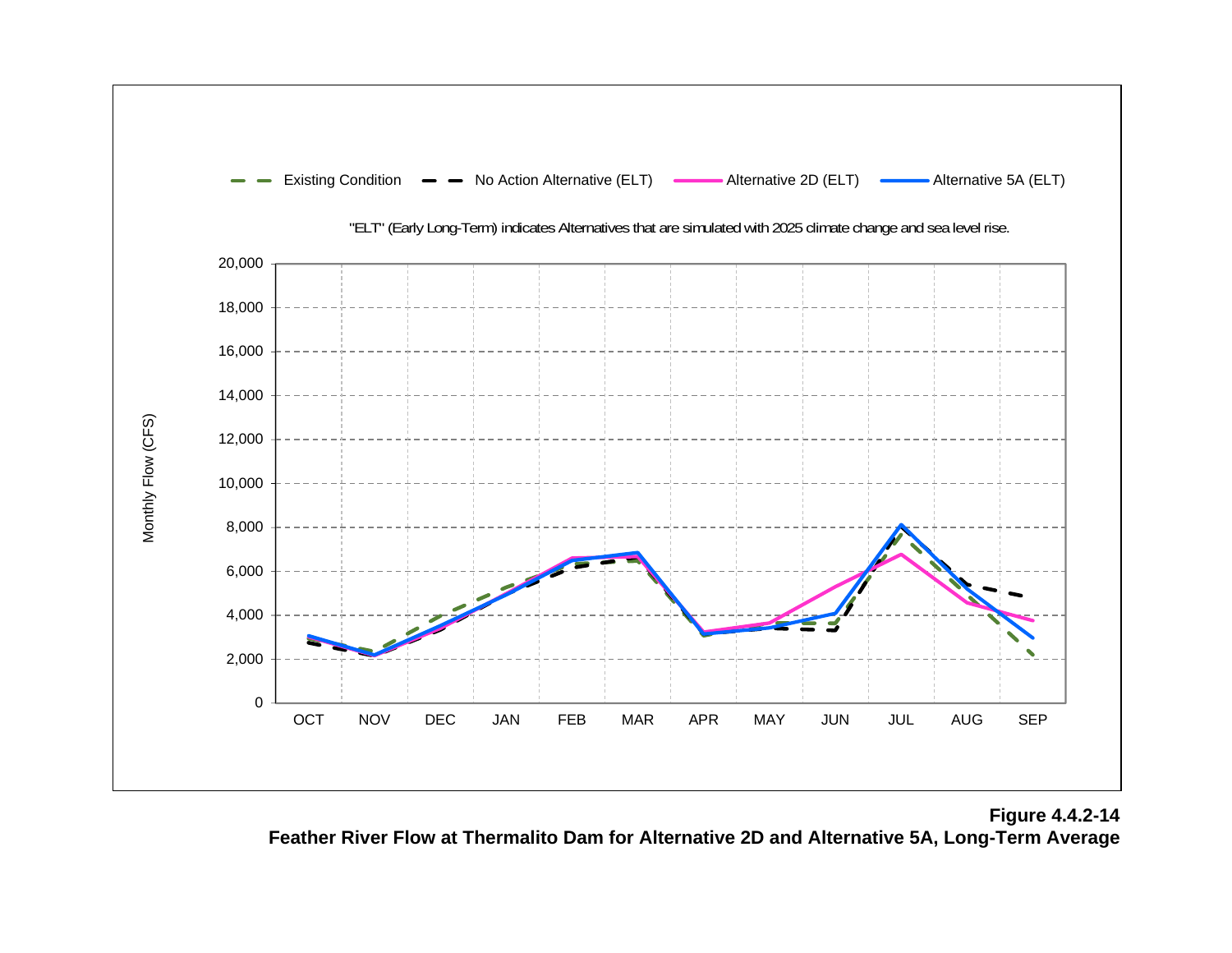

**Figure 4.4.2-14 Feather River Flow at Thermalito Dam for Alternative 2D and Alternative 5A, Long-Term Average**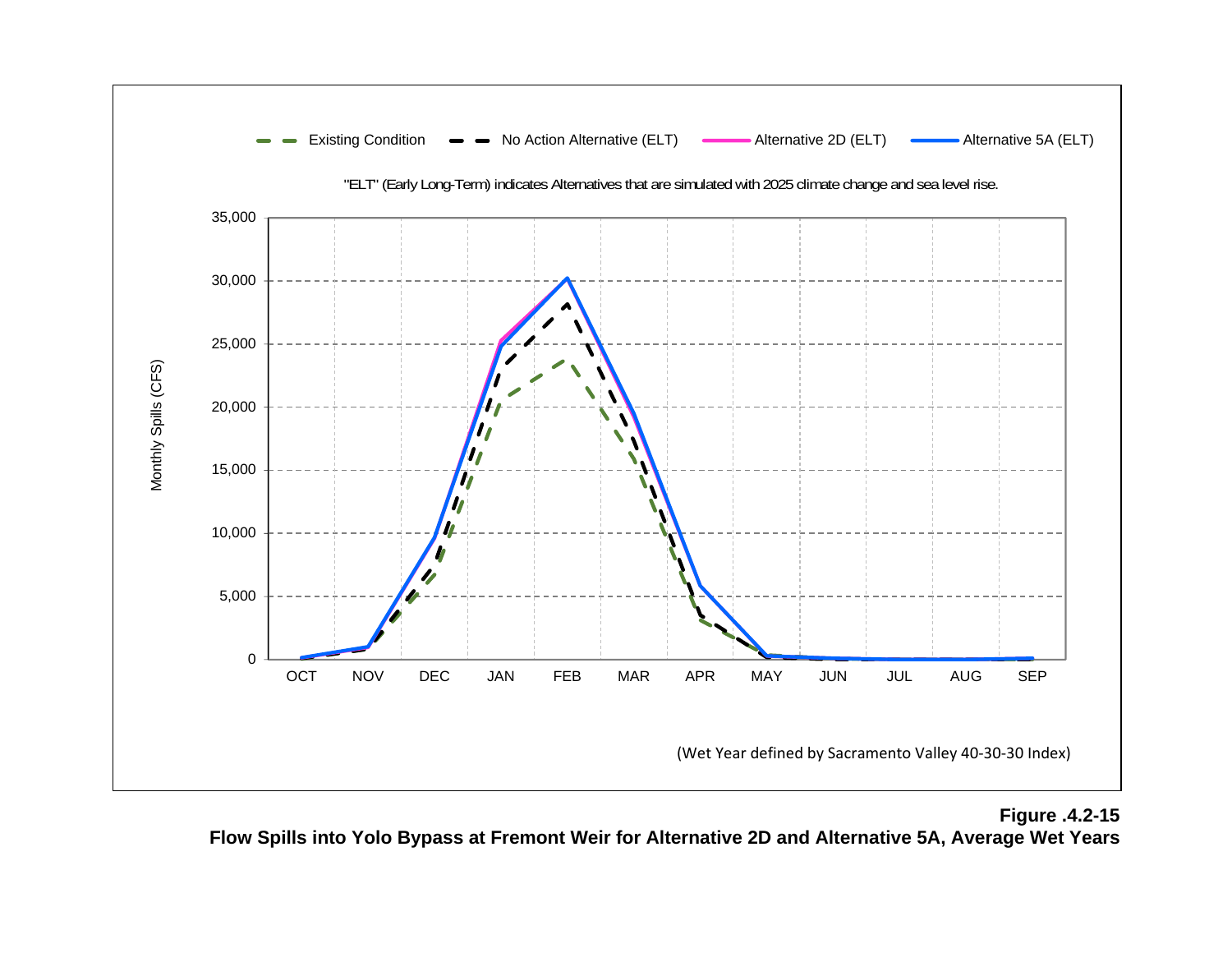